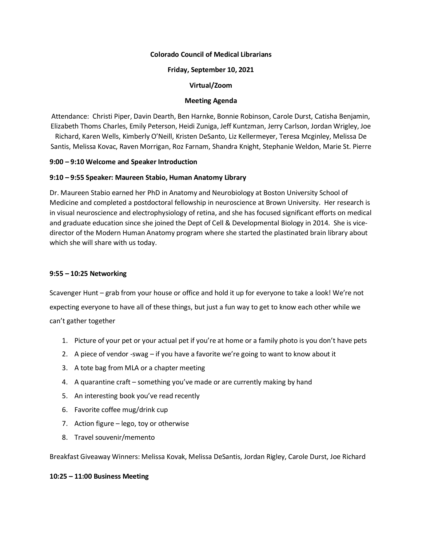### **Colorado Council of Medical Librarians**

### **Friday, September 10, 2021**

### **Virtual/Zoom**

### **Meeting Agenda**

Attendance: Christi Piper, Davin Dearth, Ben Harnke, Bonnie Robinson, Carole Durst, Catisha Benjamin, Elizabeth Thoms Charles, Emily Peterson, Heidi Zuniga, Jeff Kuntzman, Jerry Carlson, Jordan Wrigley, Joe Richard, Karen Wells, Kimberly O'Neill, Kristen DeSanto, Liz Kellermeyer, Teresa Mcginley, Melissa De Santis, Melissa Kovac, Raven Morrigan, Roz Farnam, Shandra Knight, Stephanie Weldon, Marie St. Pierre

### **9:00 – 9:10 Welcome and Speaker Introduction**

### **9:10 – 9:55 Speaker: Maureen Stabio, Human Anatomy Library**

Dr. Maureen Stabio earned her PhD in Anatomy and Neurobiology at Boston University School of Medicine and completed a postdoctoral fellowship in neuroscience at Brown University. Her research is in visual neuroscience and electrophysiology of retina, and she has focused significant efforts on medical and graduate education since she joined the Dept of Cell & Developmental Biology in 2014. She is vicedirector of the Modern Human Anatomy program where she started the plastinated brain library about which she will share with us today.

# **9:55 – 10:25 Networking**

Scavenger Hunt – grab from your house or office and hold it up for everyone to take a look! We're not expecting everyone to have all of these things, but just a fun way to get to know each other while we can't gather together

- 1. Picture of your pet or your actual pet if you're at home or a family photo is you don't have pets
- 2. A piece of vendor -swag if you have a favorite we're going to want to know about it
- 3. A tote bag from MLA or a chapter meeting
- 4. A quarantine craft something you've made or are currently making by hand
- 5. An interesting book you've read recently
- 6. Favorite coffee mug/drink cup
- 7. Action figure lego, toy or otherwise
- 8. Travel souvenir/memento

Breakfast Giveaway Winners: Melissa Kovak, Melissa DeSantis, Jordan Rigley, Carole Durst, Joe Richard

#### **10:25 – 11:00 Business Meeting**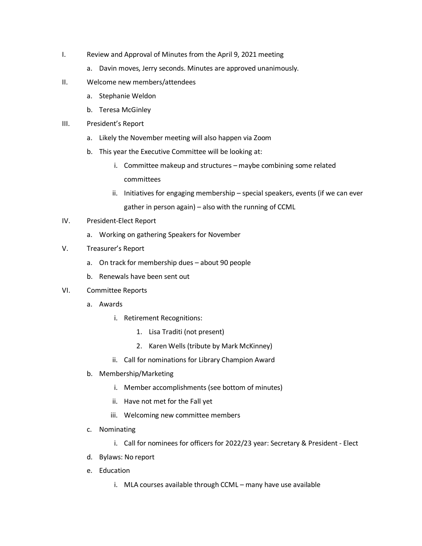- I. Review and Approval of Minutes from the April 9, 2021 meeting
	- a. Davin moves, Jerry seconds. Minutes are approved unanimously.
- II. Welcome new members/attendees
	- a. Stephanie Weldon
	- b. Teresa McGinley
- III. President's Report
	- a. Likely the November meeting will also happen via Zoom
	- b. This year the Executive Committee will be looking at:
		- i. Committee makeup and structures maybe combining some related committees
		- ii. Initiatives for engaging membership special speakers, events (if we can ever gather in person again) – also with the running of CCML
- IV. President-Elect Report
	- a. Working on gathering Speakers for November
- V. Treasurer's Report
	- a. On track for membership dues about 90 people
	- b. Renewals have been sent out
- VI. Committee Reports
	- a. Awards
		- i. Retirement Recognitions:
			- 1. Lisa Traditi (not present)
			- 2. Karen Wells (tribute by Mark McKinney)
		- ii. Call for nominations for Library Champion Award
	- b. Membership/Marketing
		- i. Member accomplishments (see bottom of minutes)
		- ii. Have not met for the Fall yet
		- iii. Welcoming new committee members
	- c. Nominating
		- i. Call for nominees for officers for 2022/23 year: Secretary & President Elect
	- d. Bylaws: No report
	- e. Education
		- i. MLA courses available through CCML many have use available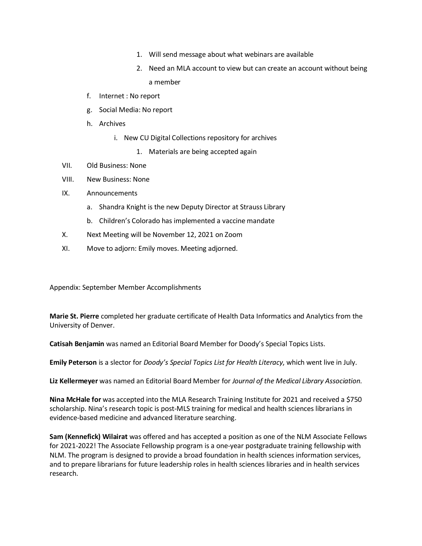- 1. Will send message about what webinars are available
- 2. Need an MLA account to view but can create an account without being a member
- f. Internet : No report
- g. Social Media: No report
- h. Archives
	- i. New CU Digital Collections repository for archives
		- 1. Materials are being accepted again
- VII. Old Business: None
- VIII. New Business: None
- IX. Announcements
	- a. Shandra Knight is the new Deputy Director at Strauss Library
	- b. Children's Colorado has implemented a vaccine mandate
- X. Next Meeting will be November 12, 2021 on Zoom
- XI. Move to adjorn: Emily moves. Meeting adjorned.

Appendix: September Member Accomplishments

**Marie St. Pierre** completed her graduate certificate of Health Data Informatics and Analytics from the University of Denver.

**Catisah Benjamin** was named an Editorial Board Member for Doody's Special Topics Lists.

**Emily Peterson** is a slector for *Doody's Special Topics List for Health Literacy*, which went live in July.

**Liz Kellermeyer** was named an Editorial Board Member for *Journal of the Medical Library Association.*

**Nina McHale for** was accepted into the MLA Research Training Institute for 2021 and received a \$750 scholarship. Nina's research topic is post-MLS training for medical and health sciences librarians in evidence-based medicine and advanced literature searching.

**Sam (Kennefick) Wilairat** was offered and has accepted a position as one of the NLM Associate Fellows for 2021-2022! The Associate Fellowship program is a one-year postgraduate training fellowship with NLM. The program is designed to provide a broad foundation in health sciences information services, and to prepare librarians for future leadership roles in health sciences libraries and in health services research.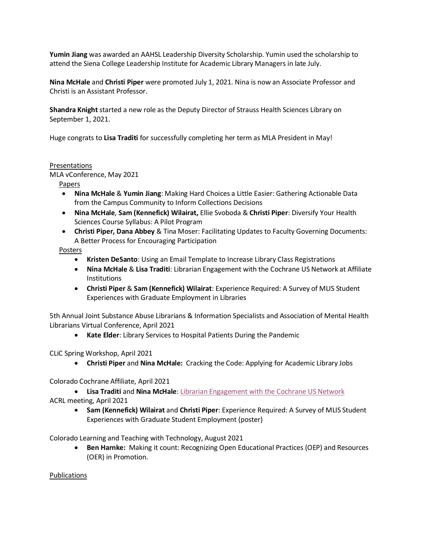**Yumin Jiang** was awarded an AAHSL Leadership Diversity Scholarship. Yumin used the scholarship to attend the Siena College Leadership Institute for Academic Library Managers in late July.

**Nina McHale** and **Christi Piper** were promoted July 1, 2021. Nina is now an Associate Professor and Christi is an Assistant Professor.

**Shandra Knight** started a new role as the Deputy Director of Strauss Health Sciences Library on September 1, 2021.

Huge congrats to **Lisa Traditi** for successfully completing her term as MLA President in May!

# Presentations

MLA vConference, May 2021

Papers

- **Nina McHale** & **Yumin Jiang**: Making Hard Choices a Little Easier: Gathering Actionable Data from the Campus Community to Inform Collections Decisions
- **Nina McHale**, **Sam (Kennefick) Wilairat,** Ellie Svoboda & **Christi Piper**: Diversify Your Health Sciences Course Syllabus: A Pilot Program
- **Christi Piper, Dana Abbey** & Tina Moser: Facilitating Updates to Faculty Governing Documents: A Better Process for Encouraging Participation

Posters

- **Kristen DeSanto**: Using an Email Template to Increase Library Class Registrations
- **Nina McHale** & **Lisa Traditi**: Librarian Engagement with the Cochrane US Network at Affiliate **Institutions**
- **Christi Piper** & **Sam (Kennefick) Wilairat**: Experience Required: A Survey of MLIS Student Experiences with Graduate Employment in Libraries

5th Annual Joint Substance Abuse Librarians & Information Specialists and Association of Mental Health Librarians Virtual Conference, April 2021

• **Kate Elder**: Library Services to Hospital Patients During the Pandemic

CLiC Spring Workshop, April 2021

• **Christi Piper** and **Nina McHale:** Cracking the Code: Applying for Academic Library Jobs

Colorado Cochrane Affiliate, April 2021

• **Lisa Traditi** and **Nina McHale**[: Librarian Engagement with the Cochrane US Network](https://library-cuanschutz.libguides.com/RockyMountainCochrane) ACRL meeting, April 2021

• **Sam (Kennefick) Wilairat** and **Christi Piper**: Experience Required: A Survey of MLIS Student Experiences with Graduate Student Employment (poster)

Colorado Learning and Teaching with Technology, August 2021

• **Ben Harnke:** Making it count: Recognizing Open Educational Practices (OEP) and Resources (OER) in Promotion.

Publications